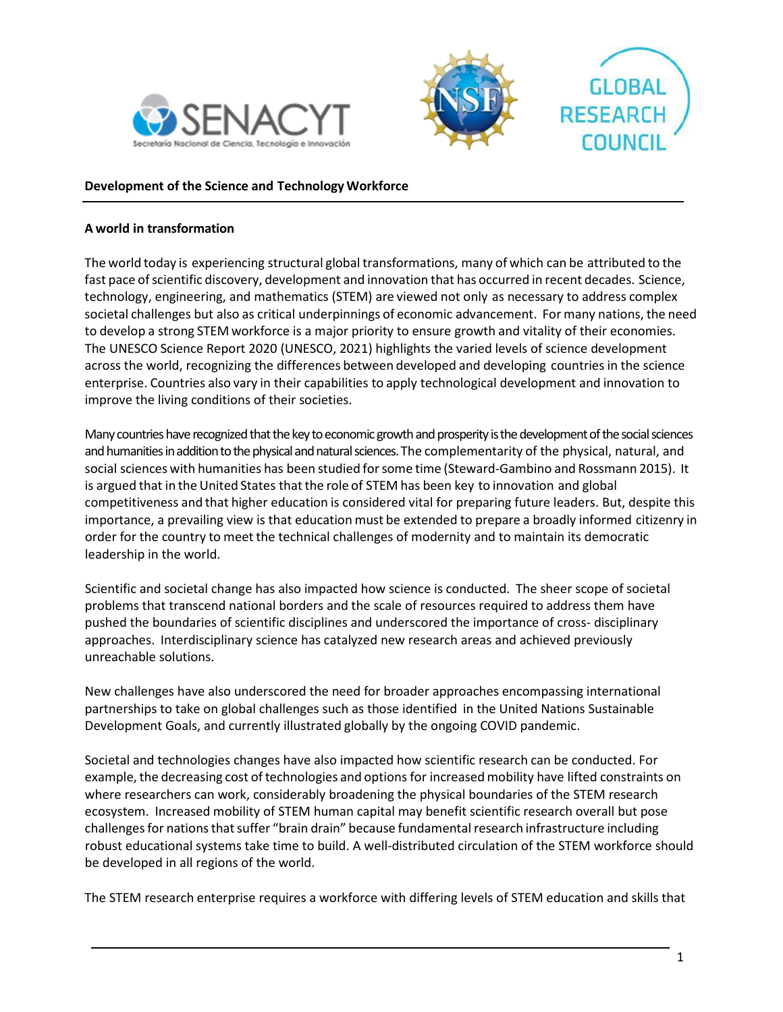





#### **Development of the Science and Technology Workforce**

#### **A world in transformation**

The world today is experiencing structural global transformations, many of which can be attributed to the fast pace of scientific discovery, development and innovation that has occurred in recent decades. Science, technology, engineering, and mathematics (STEM) are viewed not only as necessary to address complex societal challenges but also as critical underpinnings of economic advancement. For many nations, the need to develop a strong STEM workforce is a major priority to ensure growth and vitality of their economies. The UNESCO Science Report 2020 (UNESCO, 2021) highlights the varied levels of science development across the world, recognizing the differences between developed and developing countries in the science enterprise. Countries also vary in their capabilities to apply technological development and innovation to improve the living conditions of their societies.

Many countries have recognized that the key to economic growth and prosperity is the development of the social sciences and humanities in addition to the physical and natural sciences. The complementarity of the physical, natural, and social sciences with humanities has been studied forsome time (Steward-Gambino and Rossmann 2015). It is argued that in the United States that the role of STEM has been key to innovation and global competitiveness and that higher education is considered vital for preparing future leaders. But, despite this importance, a prevailing view is that education must be extended to prepare a broadly informed citizenry in order for the country to meet the technical challenges of modernity and to maintain its democratic leadership in the world.

Scientific and societal change has also impacted how science is conducted. The sheer scope of societal problems that transcend national borders and the scale of resources required to address them have pushed the boundaries of scientific disciplines and underscored the importance of cross- disciplinary approaches. Interdisciplinary science has catalyzed new research areas and achieved previously unreachable solutions.

New challenges have also underscored the need for broader approaches encompassing international partnerships to take on global challenges such as those identified in the United Nations Sustainable Development Goals, and currently illustrated globally by the ongoing COVID pandemic.

Societal and technologies changes have also impacted how scientific research can be conducted. For example, the decreasing cost of technologies and options for increased mobility have lifted constraints on where researchers can work, considerably broadening the physical boundaries of the STEM research ecosystem. Increased mobility of STEM human capital may benefit scientific research overall but pose challenges for nations that suffer "brain drain" because fundamental research infrastructure including robust educational systems take time to build. A well-distributed circulation of the STEM workforce should be developed in all regions of the world.

The STEM research enterprise requires a workforce with differing levels of STEM education and skills that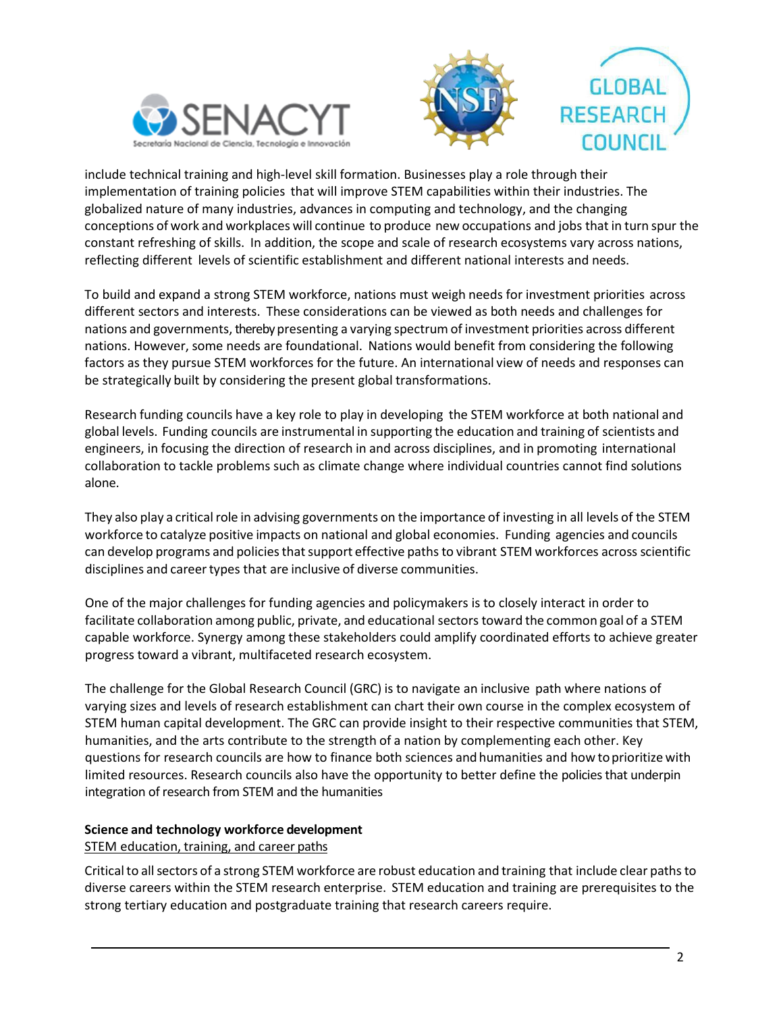





include technical training and high-level skill formation. Businesses play a role through their implementation of training policies that will improve STEM capabilities within their industries. The globalized nature of many industries, advances in computing and technology, and the changing conceptions of work and workplaces will continue to produce new occupations and jobs that in turn spur the constant refreshing of skills. In addition, the scope and scale of research ecosystems vary across nations, reflecting different levels of scientific establishment and different national interests and needs.

To build and expand a strong STEM workforce, nations must weigh needs for investment priorities across different sectors and interests. These considerations can be viewed as both needs and challenges for nations and governments, thereby presenting a varying spectrum of investment priorities across different nations. However, some needs are foundational. Nations would benefit from considering the following factors as they pursue STEM workforces for the future. An international view of needs and responses can be strategically built by considering the present global transformations.

Research funding councils have a key role to play in developing the STEM workforce at both national and global levels. Funding councils are instrumental in supporting the education and training of scientists and engineers, in focusing the direction of research in and across disciplines, and in promoting international collaboration to tackle problems such as climate change where individual countries cannot find solutions alone.

They also play a critical role in advising governments on the importance of investing in all levels of the STEM workforce to catalyze positive impacts on national and global economies. Funding agencies and councils can develop programs and policies that support effective paths to vibrant STEM workforces across scientific disciplines and career types that are inclusive of diverse communities.

One of the major challenges for funding agencies and policymakers is to closely interact in order to facilitate collaboration among public, private, and educational sectors toward the common goal of a STEM capable workforce. Synergy among these stakeholders could amplify coordinated efforts to achieve greater progress toward a vibrant, multifaceted research ecosystem.

The challenge for the Global Research Council (GRC) is to navigate an inclusive path where nations of varying sizes and levels of research establishment can chart their own course in the complex ecosystem of STEM human capital development. The GRC can provide insight to their respective communities that STEM, humanities, and the arts contribute to the strength of a nation by complementing each other. Key questions for research councils are how to finance both sciences andhumanities and how toprioritize with limited resources. Research councils also have the opportunity to better define the policies that underpin integration of research from STEM and the humanities

# **Science and technology workforce development**

# STEM education, training, and career paths

Critical to all sectors of a strong STEM workforce are robust education and training that include clear paths to diverse careers within the STEM research enterprise. STEM education and training are prerequisites to the strong tertiary education and postgraduate training that research careers require.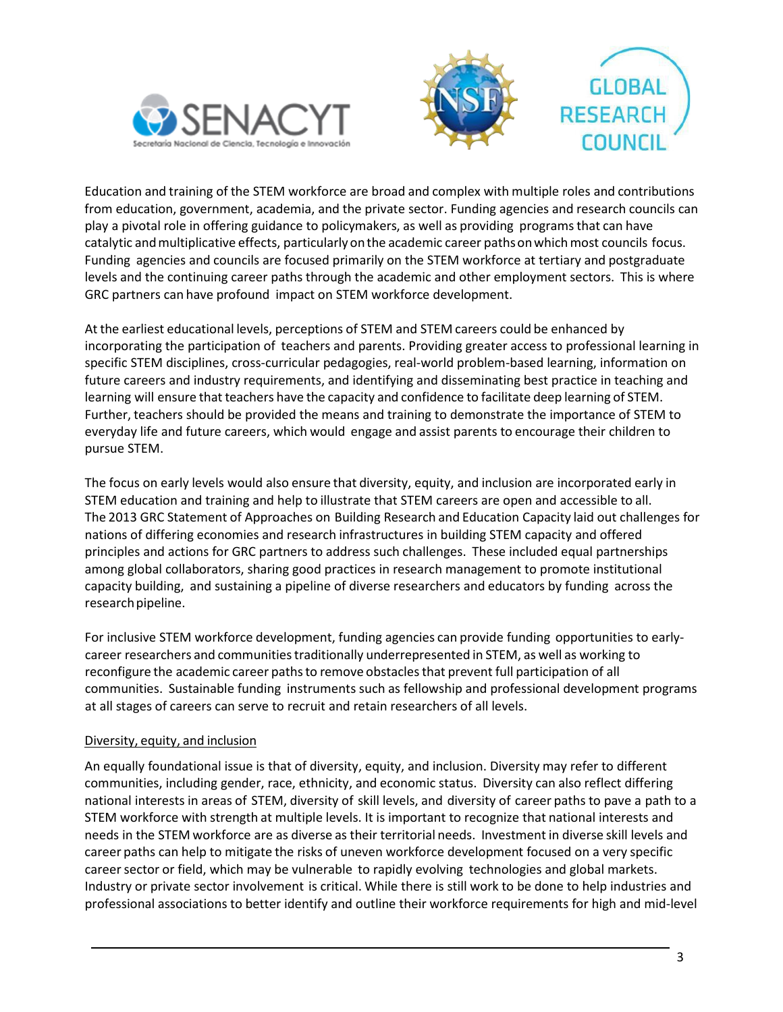





Education and training of the STEM workforce are broad and complex with multiple roles and contributions from education, government, academia, and the private sector. Funding agencies and research councils can play a pivotal role in offering guidance to policymakers, as well as providing programs that can have catalytic andmultiplicative effects, particularly onthe academic career pathsonwhichmost councils focus. Funding agencies and councils are focused primarily on the STEM workforce at tertiary and postgraduate levels and the continuing career paths through the academic and other employment sectors. This is where GRC partners can have profound impact on STEM workforce development.

At the earliest educational levels, perceptions of STEM and STEM careers could be enhanced by incorporating the participation of teachers and parents. Providing greater access to professional learning in specific STEM disciplines, cross-curricular pedagogies, real-world problem-based learning, information on future careers and industry requirements, and identifying and disseminating best practice in teaching and learning will ensure that teachers have the capacity and confidence to facilitate deep learning of STEM. Further, teachers should be provided the means and training to demonstrate the importance of STEM to everyday life and future careers, which would engage and assist parents to encourage their children to pursue STEM.

The focus on early levels would also ensure that diversity, equity, and inclusion are incorporated early in STEM education and training and help to illustrate that STEM careers are open and accessible to all. The 2013 GRC Statement of Approaches on Building Research and Education Capacity laid out challenges for nations of differing economies and research infrastructures in building STEM capacity and offered principles and actions for GRC partners to address such challenges. These included equal partnerships among global collaborators, sharing good practices in research management to promote institutional capacity building, and sustaining a pipeline of diverse researchers and educators by funding across the research pipeline.

For inclusive STEM workforce development, funding agencies can provide funding opportunities to earlycareer researchers and communities traditionally underrepresented in STEM, as well as working to reconfigure the academic career paths to remove obstacles that prevent full participation of all communities. Sustainable funding instruments such as fellowship and professional development programs at all stages of careers can serve to recruit and retain researchers of all levels.

# Diversity, equity, and inclusion

An equally foundational issue is that of diversity, equity, and inclusion. Diversity may refer to different communities, including gender, race, ethnicity, and economic status. Diversity can also reflect differing national interests in areas of STEM, diversity of skill levels, and diversity of career paths to pave a path to a STEM workforce with strength at multiple levels. It is important to recognize that national interests and needs in the STEM workforce are as diverse as their territorial needs. Investment in diverse skill levels and career paths can help to mitigate the risks of uneven workforce development focused on a very specific career sector or field, which may be vulnerable to rapidly evolving technologies and global markets. Industry or private sector involvement is critical. While there is still work to be done to help industries and professional associations to better identify and outline their workforce requirements for high and mid-level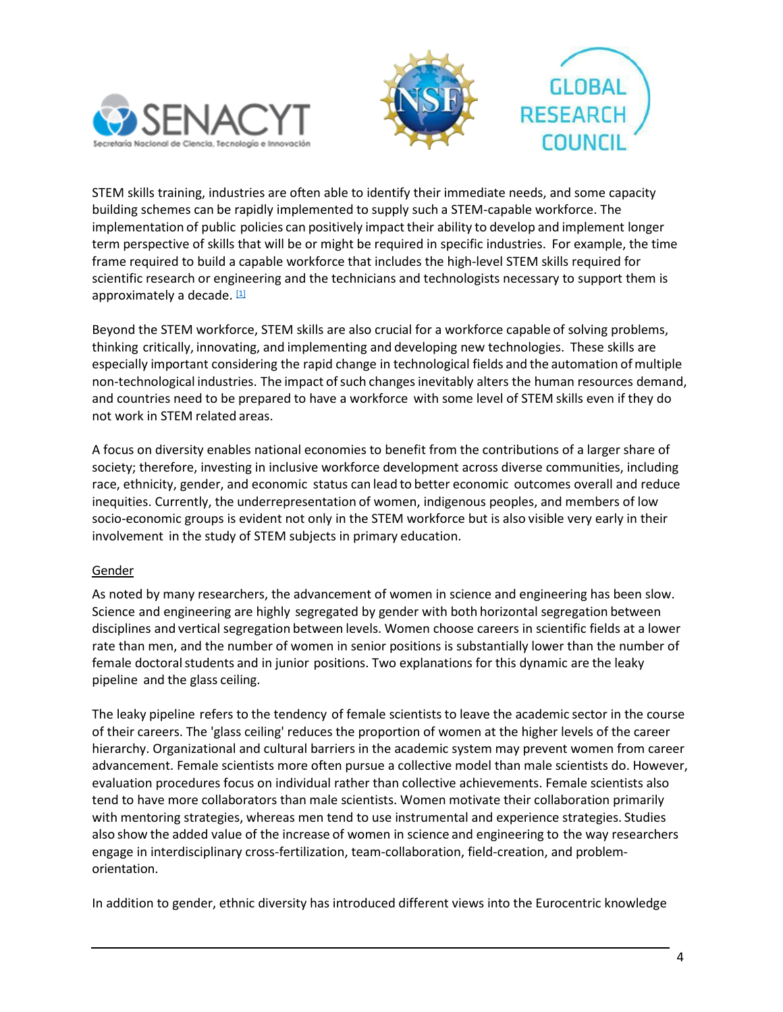



STEM skills training, industries are often able to identify their immediate needs, and some capacity building schemes can be rapidly implemented to supply such a STEM-capable workforce. The implementation of public policies can positively impact their ability to develop and implement longer term perspective of skills that will be or might be required in specific industries. For example, the time frame required to build a capable workforce that includes the high-level STEM skills required for scientific research or engineering and the technicians and technologists necessary to support them is approximately a decade. [1]

Beyond the STEM workforce, STEM skills are also crucial for a workforce capable of solving problems, thinking critically, innovating, and implementing and developing new technologies. These skills are especially important considering the rapid change in technological fields and the automation ofmultiple non-technological industries. The impact of such changes inevitably alters the human resources demand, and countries need to be prepared to have a workforce with some level of STEM skills even if they do not work in STEM related areas.

A focus on diversity enables national economies to benefit from the contributions of a larger share of society; therefore, investing in inclusive workforce development across diverse communities, including race, ethnicity, gender, and economic status can lead to better economic outcomes overall and reduce inequities. Currently, the underrepresentation of women, indigenous peoples, and members of low socio-economic groups is evident not only in the STEM workforce but is also visible very early in their involvement in the study of STEM subjects in primary education.

# Gender

As noted by many researchers, the advancement of women in science and engineering has been slow. Science and engineering are highly segregated by gender with both horizontal segregation between disciplines and vertical segregation between levels. Women choose careers in scientific fields at a lower rate than men, and the number of women in senior positions is substantially lower than the number of female doctoral students and in junior positions. Two explanations for this dynamic are the leaky pipeline and the glass ceiling.

The leaky pipeline refers to the tendency of female scientists to leave the academic sector in the course of their careers. The 'glass ceiling' reduces the proportion of women at the higher levels of the career hierarchy. Organizational and cultural barriers in the academic system may prevent women from career advancement. Female scientists more often pursue a collective model than male scientists do. However, evaluation procedures focus on individual rather than collective achievements. Female scientists also tend to have more collaborators than male scientists. Women motivate their collaboration primarily with mentoring strategies, whereas men tend to use instrumental and experience strategies. Studies also show the added value of the increase of women in science and engineering to the way researchers engage in interdisciplinary cross-fertilization, team-collaboration, field-creation, and problemorientation.

In addition to gender, ethnic diversity has introduced different views into the Eurocentric knowledge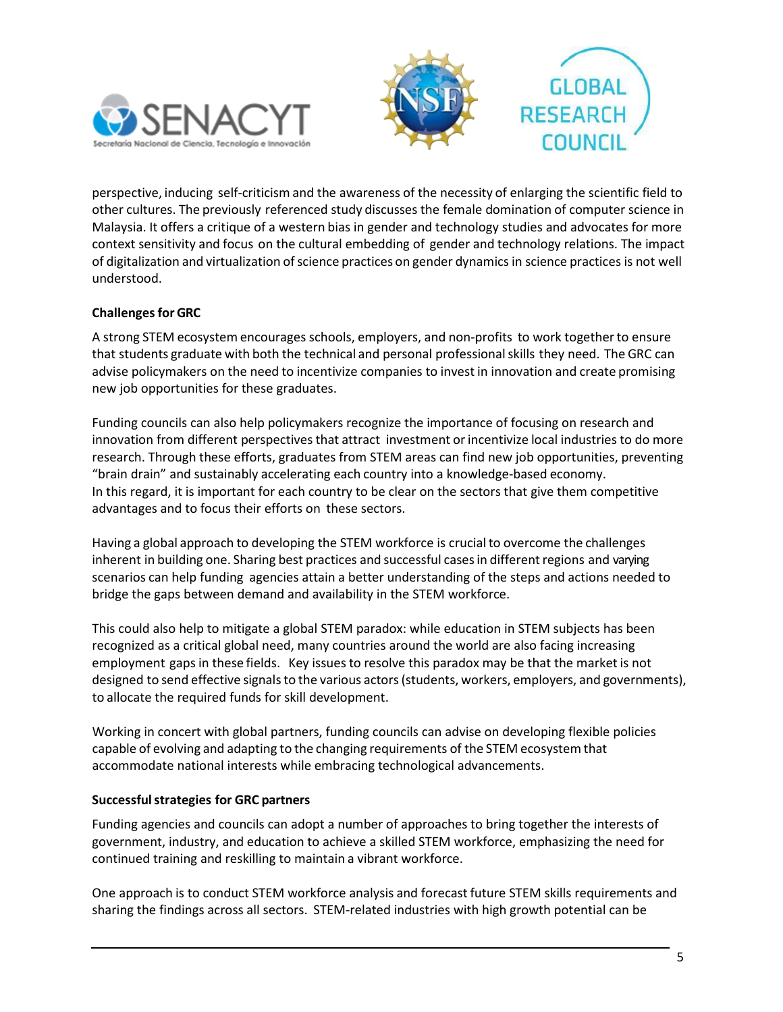



perspective, inducing self-criticism and the awareness of the necessity of enlarging the scientific field to other cultures. The previously referenced study discusses the female domination of computer science in Malaysia. It offers a critique of a western bias in gender and technology studies and advocates for more context sensitivity and focus on the cultural embedding of gender and technology relations. The impact of digitalization and virtualization ofscience practices on gender dynamics in science practices is not well understood.

# **Challenges for GRC**

A strong STEM ecosystem encourages schools, employers, and non-profits to work togetherto ensure that students graduate with both the technical and personal professionalskills they need. The GRC can advise policymakers on the need to incentivize companies to invest in innovation and create promising new job opportunities for these graduates.

Funding councils can also help policymakers recognize the importance of focusing on research and innovation from different perspectives that attract investment or incentivize local industries to do more research. Through these efforts, graduates from STEM areas can find new job opportunities, preventing "brain drain" and sustainably accelerating each country into a knowledge-based economy. In this regard, it is important for each country to be clear on the sectors that give them competitive advantages and to focus their efforts on these sectors.

Having a global approach to developing the STEM workforce is crucial to overcome the challenges inherent in building one. Sharing best practices and successful casesin different regions and varying scenarios can help funding agencies attain a better understanding of the steps and actions needed to bridge the gaps between demand and availability in the STEM workforce.

This could also help to mitigate a global STEM paradox: while education in STEM subjects has been recognized as a critical global need, many countries around the world are also facing increasing employment gaps in these fields. Key issues to resolve this paradox may be that the market is not designed to send effective signals to the various actors (students, workers, employers, and governments), to allocate the required funds for skill development.

Working in concert with global partners, funding councils can advise on developing flexible policies capable of evolving and adapting to the changing requirements of the STEM ecosystem that accommodate national interests while embracing technological advancements.

# **Successfulstrategies for GRC partners**

Funding agencies and councils can adopt a number of approaches to bring together the interests of government, industry, and education to achieve a skilled STEM workforce, emphasizing the need for continued training and reskilling to maintain a vibrant workforce.

One approach is to conduct STEM workforce analysis and forecast future STEM skills requirements and sharing the findings across all sectors. STEM-related industries with high growth potential can be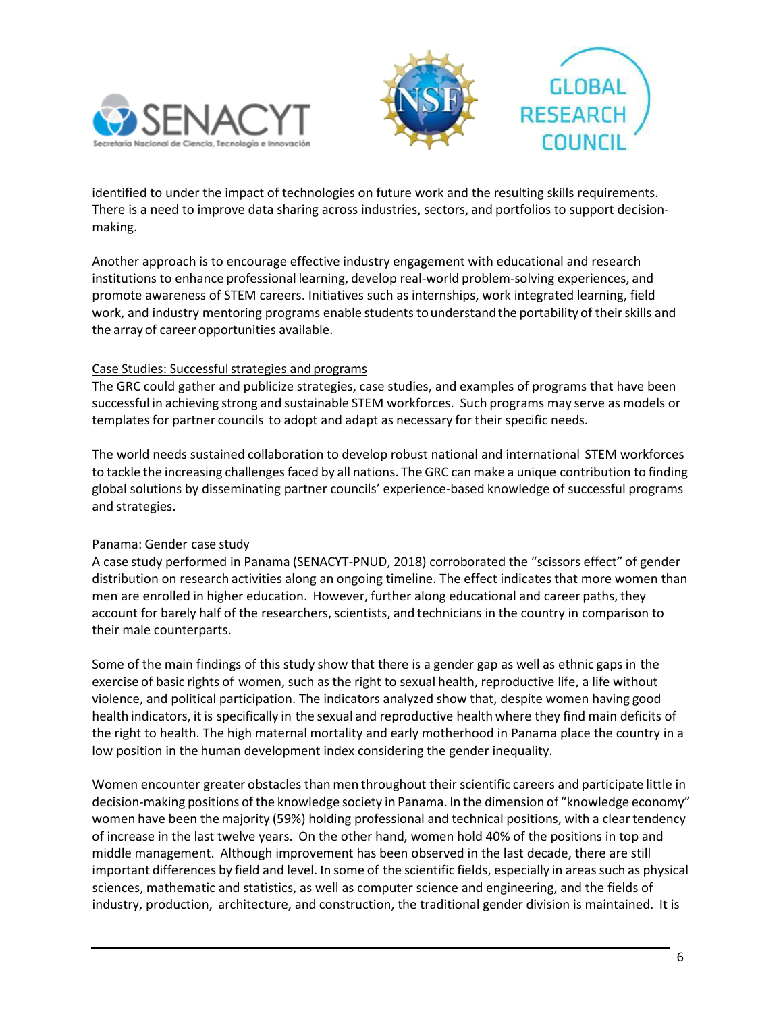



identified to under the impact of technologies on future work and the resulting skills requirements. There is a need to improve data sharing across industries, sectors, and portfolios to support decisionmaking.

Another approach is to encourage effective industry engagement with educational and research institutions to enhance professional learning, develop real-world problem-solving experiences, and promote awareness of STEM careers. Initiatives such as internships, work integrated learning, field work, and industry mentoring programs enable students to understand the portability of their skills and the array of career opportunities available.

# Case Studies: Successful strategies and programs

The GRC could gather and publicize strategies, case studies, and examples of programs that have been successful in achieving strong and sustainable STEM workforces. Such programs may serve as models or templates for partner councils to adopt and adapt as necessary for their specific needs.

The world needs sustained collaboration to develop robust national and international STEM workforces to tackle the increasing challengesfaced by all nations. The GRC canmake a unique contribution to finding global solutions by disseminating partner councils' experience-based knowledge of successful programs and strategies.

# Panama: Gender case study

A case study performed in Panama (SENACYT-PNUD, 2018) corroborated the "scissors effect" of gender distribution on research activities along an ongoing timeline. The effect indicates that more women than men are enrolled in higher education. However, further along educational and career paths, they account for barely half of the researchers, scientists, and technicians in the country in comparison to their male counterparts.

Some of the main findings of this study show that there is a gender gap as well as ethnic gaps in the exercise of basic rights of women, such as the right to sexual health, reproductive life, a life without violence, and political participation. The indicators analyzed show that, despite women having good health indicators, it is specifically in the sexual and reproductive health where they find main deficits of the right to health. The high maternal mortality and early motherhood in Panama place the country in a low position in the human development index considering the gender inequality.

Women encounter greater obstacles than men throughout their scientific careers and participate little in decision-making positions of the knowledge society in Panama. In the dimension of "knowledge economy" women have been the majority (59%) holding professional and technical positions, with a clear tendency of increase in the last twelve years. On the other hand, women hold 40% of the positions in top and middle management. Although improvement has been observed in the last decade, there are still important differences by field and level. In some of the scientific fields, especially in areas such as physical sciences, mathematic and statistics, as well as computer science and engineering, and the fields of industry, production, architecture, and construction, the traditional gender division is maintained. It is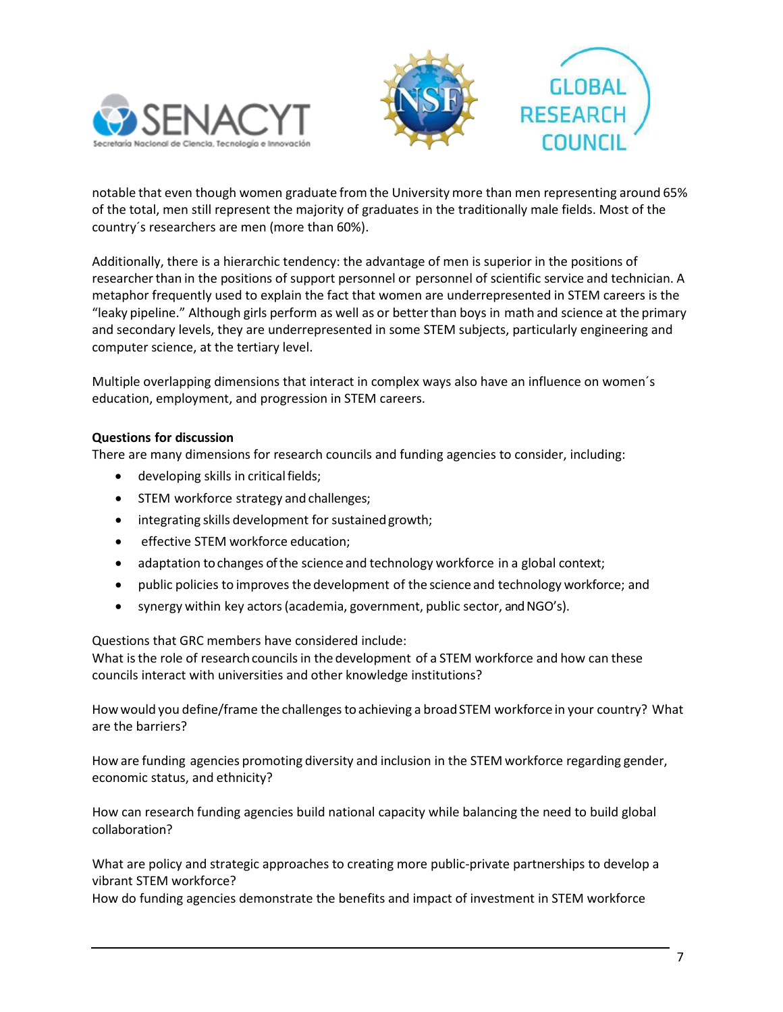



notable that even though women graduate from the University more than men representing around 65% of the total, men still represent the majority of graduates in the traditionally male fields. Most of the country´s researchers are men (more than 60%).

Additionally, there is a hierarchic tendency: the advantage of men is superior in the positions of researcherthan in the positions of support personnel or personnel of scientific service and technician. A metaphor frequently used to explain the fact that women are underrepresented in STEM careers is the "leaky pipeline." Although girls perform as well as or betterthan boys in math and science at the primary and secondary levels, they are underrepresented in some STEM subjects, particularly engineering and computer science, at the tertiary level.

Multiple overlapping dimensions that interact in complex ways also have an influence on women´s education, employment, and progression in STEM careers.

# **Questions for discussion**

There are many dimensions for research councils and funding agencies to consider, including:

- developing skills in critical fields;
- STEM workforce strategy and challenges;
- integrating skills development for sustainedgrowth;
- effective STEM workforce education;
- adaptation tochanges of the science and technology workforce in a global context;
- public policies to improves the development of the science and technology workforce; and
- synergy within key actors(academia, government, public sector, and NGO's).

Questions that GRC members have considered include:

What is the role of research councils in the development of a STEM workforce and how can these councils interact with universities and other knowledge institutions?

How would you define/frame the challenges to achieving a broad STEM workforce in your country? What are the barriers?

How are funding agencies promoting diversity and inclusion in the STEM workforce regarding gender, economic status, and ethnicity?

How can research funding agencies build national capacity while balancing the need to build global collaboration?

What are policy and strategic approaches to creating more public-private partnerships to develop a vibrant STEM workforce?

How do funding agencies demonstrate the benefits and impact of investment in STEM workforce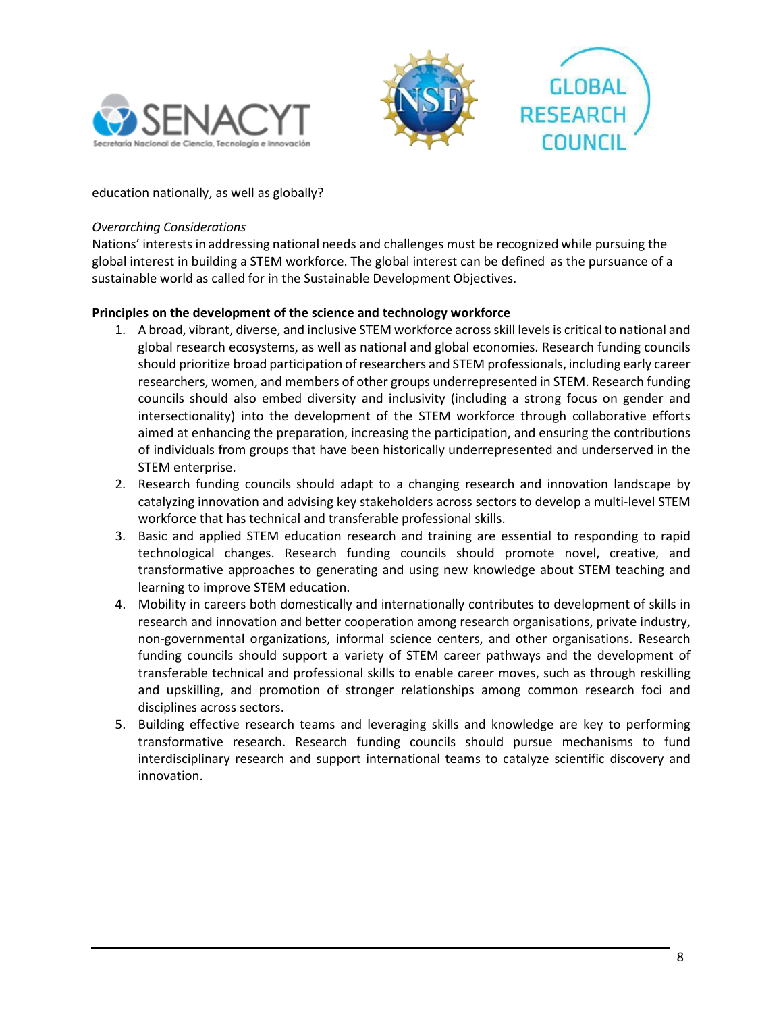





education nationally, as well as globally?

#### *Overarching Considerations*

Nations' interests in addressing national needs and challenges must be recognized while pursuing the global interest in building a STEM workforce. The global interest can be defined as the pursuance of a sustainable world as called for in the Sustainable Development Objectives.

# **Principles on the development of the science and technology workforce**

- 1. A broad, vibrant, diverse, and inclusive STEM workforce across skill levels is critical to national and global research ecosystems, as well as national and global economies. Research funding councils should prioritize broad participation of researchers and STEM professionals, including early career researchers, women, and members of other groups underrepresented in STEM. Research funding councils should also embed diversity and inclusivity (including a strong focus on gender and intersectionality) into the development of the STEM workforce through collaborative efforts aimed at enhancing the preparation, increasing the participation, and ensuring the contributions of individuals from groups that have been historically underrepresented and underserved in the STEM enterprise.
- 2. Research funding councils should adapt to a changing research and innovation landscape by catalyzing innovation and advising key stakeholders across sectors to develop a multi-level STEM workforce that has technical and transferable professional skills.
- 3. Basic and applied STEM education research and training are essential to responding to rapid technological changes. Research funding councils should promote novel, creative, and transformative approaches to generating and using new knowledge about STEM teaching and learning to improve STEM education.
- 4. Mobility in careers both domestically and internationally contributes to development of skills in research and innovation and better cooperation among research organisations, private industry, non-governmental organizations, informal science centers, and other organisations. Research funding councils should support a variety of STEM career pathways and the development of transferable technical and professional skills to enable career moves, such as through reskilling and upskilling, and promotion of stronger relationships among common research foci and disciplines across sectors.
- 5. Building effective research teams and leveraging skills and knowledge are key to performing transformative research. Research funding councils should pursue mechanisms to fund interdisciplinary research and support international teams to catalyze scientific discovery and innovation.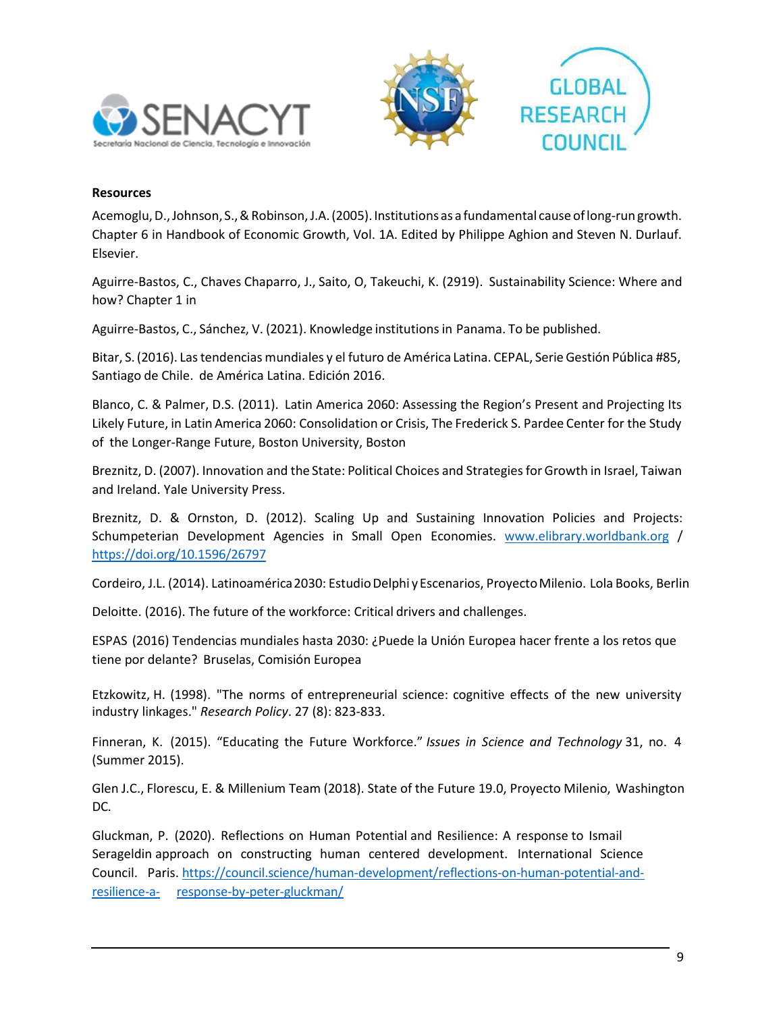



#### **Resources**

Acemoglu,D.,Johnson, S., & Robinson,J.A.(2005). Institutions as a fundamental cause oflong-run growth. Chapter 6 in Handbook of Economic Growth, Vol. 1A. Edited by Philippe Aghion and Steven N. Durlauf. Elsevier.

Aguirre-Bastos, C., Chaves Chaparro, J., Saito, O, Takeuchi, K. (2919). Sustainability Science: Where and how? Chapter 1 in

Aguirre-Bastos, C., Sánchez, V. (2021). Knowledge institutionsin Panama. To be published.

Bitar, S. (2016). Las tendencias mundiales y el futuro de América Latina. CEPAL, Serie Gestión Pública #85, Santiago de Chile. de América Latina. Edición 2016.

Blanco, C. & Palmer, D.S. (2011). Latin America 2060: Assessing the Region's Present and Projecting Its Likely Future, in Latin America 2060: Consolidation or Crisis, The Frederick S. Pardee Center for the Study of the Longer-Range Future, Boston University, Boston

Breznitz, D. (2007). Innovation and the State: Political Choices and Strategies for Growth in Israel, Taiwan and Ireland. Yale University Press.

Breznitz, D. & Ornston, D. (2012). Scaling Up and Sustaining Innovation Policies and Projects: Schumpeterian Development Agencies in Small Open Economies. [www.elibrary.worldbank.org](http://www.elibrary.worldbank.org/) / <https://doi.org/10.1596/26797>

Cordeiro, J.L. (2014). Latinoamérica2030: EstudioDelphi y Escenarios, ProyectoMilenio. Lola Books, Berlin

Deloitte. (2016). The future of the workforce: Critical drivers and challenges.

ESPAS (2016) Tendencias mundiales hasta 2030: ¿Puede la Unión Europea hacer frente a los retos que tiene por delante? Bruselas, Comisión Europea

Etzkowitz, H. (1998). "The norms of entrepreneurial science: cognitive effects of the new university industry linkages." *Research Policy*. 27 (8): 823-833.

Finneran, K. (2015). "Educating the Future Workforce." *Issues in Science and Technology* 31, no. 4 (Summer 2015).

Glen J.C., Florescu, E. & Millenium Team (2018). State of the Future 19.0, Proyecto Milenio, Washington DC.

Gluckman, P. (2020). Reflections on Human Potential and Resilience: A response to Ismail Serageldin approach on constructing human centered development. International Science Council. Paris. [https://council.science/human-development/reflections-on-human-potential-and](https://council.science/human-development/reflections-on-human-potential-and-resilience-a-response-by-peter-gluckman/)[resilience-a- response-by-peter-gluckman/](https://council.science/human-development/reflections-on-human-potential-and-resilience-a-response-by-peter-gluckman/)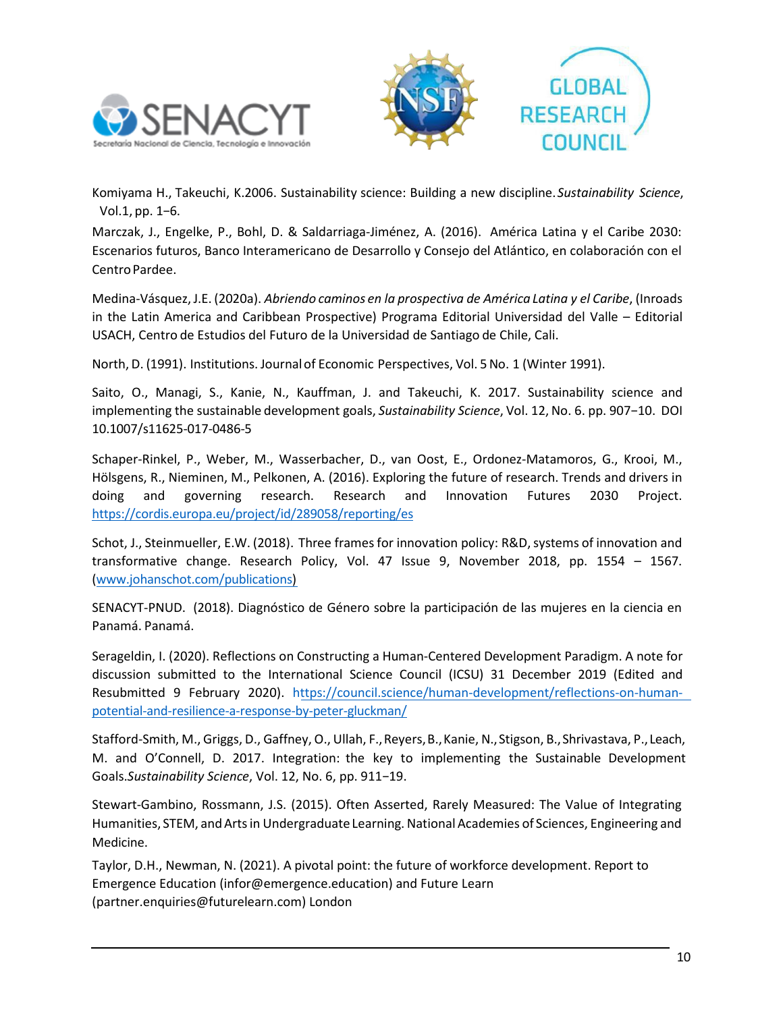



Komiyama H., Takeuchi, K.2006. Sustainability science: Building a new discipline.*Sustainability Science*, Vol.1, pp. 1−6.

Marczak, J., Engelke, P., Bohl, D. & Saldarriaga-Jiménez, A. (2016). América Latina y el Caribe 2030: Escenarios futuros, Banco Interamericano de Desarrollo y Consejo del Atlántico, en colaboración con el Centro Pardee.

Medina-Vásquez,J.E. (2020a). *Abriendo caminos en la prospectiva de América Latina y el Caribe*, (Inroads in the Latin America and Caribbean Prospective) Programa Editorial Universidad del Valle – Editorial USACH, Centro de Estudios del Futuro de la Universidad de Santiago de Chile, Cali.

North, D. (1991). Institutions. Journalof Economic Perspectives, Vol. 5 No. 1 (Winter 1991).

Saito, O., Managi, S., Kanie, N., Kauffman, J. and Takeuchi, K. 2017. Sustainability science and implementing the sustainable development goals, *Sustainability Science*, Vol. 12, No. 6. pp. 907−10. DOI 10.1007/s11625-017-0486-5

Schaper-Rinkel, P., Weber, M., Wasserbacher, D., van Oost, E., Ordonez-Matamoros, G., Krooi, M., Hölsgens, R., Nieminen, M., Pelkonen, A. (2016). Exploring the future of research. Trends and drivers in doing and governing research. Research and Innovation Futures 2030 Project. <https://cordis.europa.eu/project/id/289058/reporting/es>

Schot, J., Steinmueller, E.W. (2018). Three frames for innovation policy: R&D, systems of innovation and transformative change. Research Policy, Vol. 47 Issue 9, November 2018, pp. 1554 – 1567. [\(www.johanschot.com/publications\)](http://www.johanschot.com/publications)

SENACYT-PNUD. (2018). Diagnóstico de Género sobre la participación de las mujeres en la ciencia en Panamá. Panamá.

Serageldin, I. (2020). Reflections on Constructing a Human-Centered Development Paradigm. A note for discussion submitted to the International Science Council (ICSU) 31 December 2019 (Edited and Resubmitted 9 February 2020). [https://council.science/human-development/reflections-on-human](https://council.science/human-development/reflections-on-human-potential-and-resilience-a-response-by-peter-gluckman/)[potential-and-resilience-a-response-by-peter-gluckman/](https://council.science/human-development/reflections-on-human-potential-and-resilience-a-response-by-peter-gluckman/)

Stafford-Smith, M., Griggs, D., Gaffney, O., Ullah, F.,Reyers, B.,Kanie, N.,Stigson, B.,Shrivastava, P., Leach, M. and O'Connell, D. 2017. Integration: the key to implementing the Sustainable Development Goals.*Sustainability Science*, Vol. 12, No. 6, pp. 911−19.

Stewart-Gambino, Rossmann, J.S. (2015). Often Asserted, Rarely Measured: The Value of Integrating Humanities, STEM, and Arts in Undergraduate Learning. National Academies of Sciences, Engineering and Medicine.

Taylor, D.H., Newman, N. (2021). A pivotal point: the future of workforce development. Report to Emergence Education (infor@emergence.education) and Future Learn (partner.enquiries@futurelearn.com) London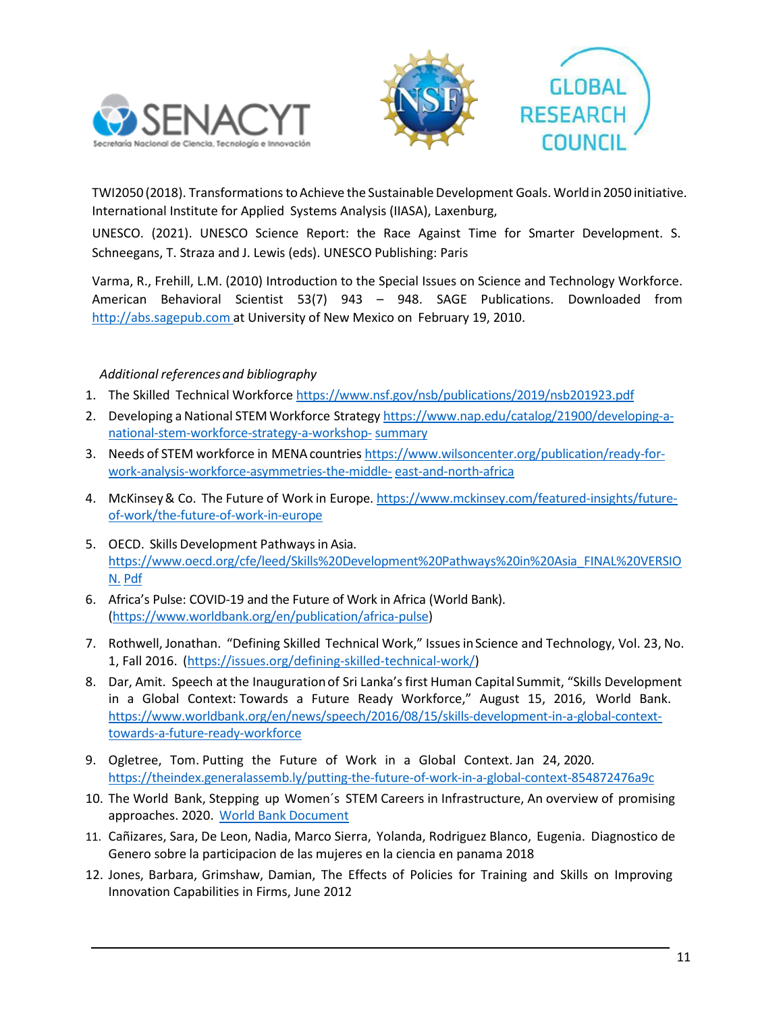



TWI2050 (2018). Transformations to Achieve the Sustainable Development Goals. World in 2050 initiative. International Institute for Applied Systems Analysis (IIASA), Laxenburg,

UNESCO. (2021). UNESCO Science Report: the Race Against Time for Smarter Development. S. Schneegans, T. Straza and J. Lewis (eds). UNESCO Publishing: Paris

Varma, R., Frehill, L.M. (2010) Introduction to the Special Issues on Science and Technology Workforce. American Behavioral Scientist 53(7) 943 – 948. SAGE Publications. Downloaded from http://abs.sagepub.com at University of New Mexico on February 19, 2010.

# *Additional referencesand bibliography*

- 1. The Skilled Technical Workforce https:/[/www.nsf.gov/nsb/publications/2019/nsb201923.pdf](http://www.nsf.gov/nsb/publications/2019/nsb201923.pdf)
- 2. Developing a National STEMWorkforce Strategy https:/[/www.nap.edu/catalog/21900/developing-a](http://www.nap.edu/catalog/21900/developing-a-national-stem-workforce-strategy-a-workshop-)[national-stem-workforce-strategy-a-workshop-](http://www.nap.edu/catalog/21900/developing-a-national-stem-workforce-strategy-a-workshop-) summary
- 3. Needs of STEM workforce in MENAcountries https:/[/www.wilsoncenter.org/publication/ready-for](http://www.wilsoncenter.org/publication/ready-for-work-analysis-workforce-asymmetries-the-middle-)[work-analysis-workforce-asymmetries-the-middle-](http://www.wilsoncenter.org/publication/ready-for-work-analysis-workforce-asymmetries-the-middle-) east-and-north-africa
- 4. McKinsey & Co. The Future of Work in Europe. https:/[/www.mckinsey.com/featured-insights/future](http://www.mckinsey.com/featured-insights/future-of-work/the-future-of-work-in-europe)[of-work/the-future-of-work-in-europe](http://www.mckinsey.com/featured-insights/future-of-work/the-future-of-work-in-europe)
- 5. OECD. Skills Development Pathwaysin Asia. https:/[/www.oecd.org/cfe/leed/Skills%20Development%20Pathways%20in%20Asia\\_FINAL%20VERSIO](http://www.oecd.org/cfe/leed/Skills%20Development%20Pathways%20in%20Asia_FINAL%20VERSION) [N.](http://www.oecd.org/cfe/leed/Skills%20Development%20Pathways%20in%20Asia_FINAL%20VERSION) Pdf
- 6. Africa's Pulse: COVID-19 and the Future of Work in Africa (World Bank). (https:/[/www.worldbank.org/en/publication/africa-pulse\)](http://www.worldbank.org/en/publication/africa-pulse))
- 7. Rothwell, Jonathan. "Defining Skilled Technical Work," Issues in Science and Technology, Vol. 23, No. 1, Fall 2016. (https://issues.org/defining-skilled-technical-work/)
- 8. Dar, Amit. Speech at the Inaugurationof Sri Lanka's first Human Capital Summit, "Skills Development in a Global Context: Towards a Future Ready Workforce," August 15, 2016, World Bank. https:/[/www.worldbank.org/en/news/speech/2016/08/15/skills-development-in-a-global-context](http://www.worldbank.org/en/news/speech/2016/08/15/skills-development-in-a-global-context-)towards-a-future-ready-workforce
- 9. Ogletree, Tom. Putting the Future of Work in a Global Context. Jan 24, 2020. <https://theindex.generalassemb.ly/putting-the-future-of-work-in-a-global-context-854872476a9c>
- 10. The World Bank, Stepping up Women´s STEM Careers in Infrastructure, An overview of promising approaches. 2020. [World Bank](https://openknowledge.worldbank.org/handle/10986/34787) Document
- 11. Cañizares, Sara, De Leon, Nadia, Marco Sierra, Yolanda, Rodriguez Blanco, Eugenia. Diagnostico de Genero sobre la participacion de las mujeres en la ciencia en panama 2018
- 12. Jones, Barbara, Grimshaw, Damian, The Effects of Policies for Training and Skills on Improving Innovation Capabilities in Firms, June 2012